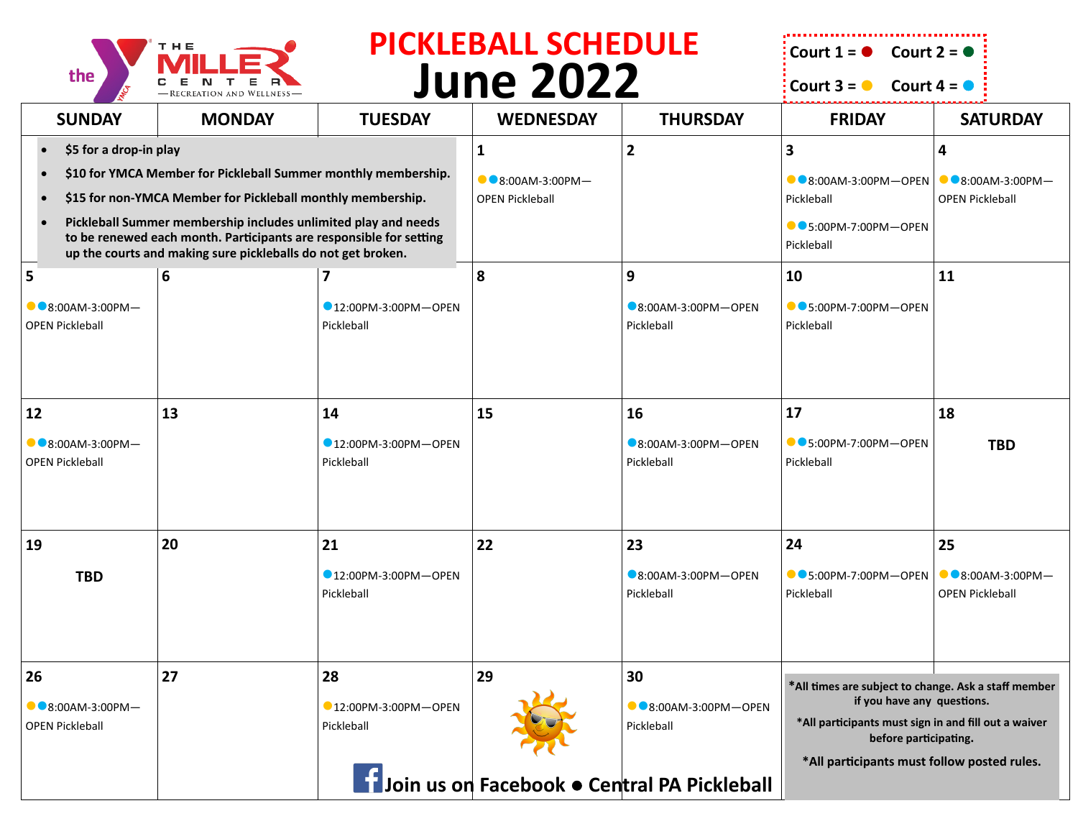

## **June 2022 PICKLEBALL SCHEDULE**  $\frac{1}{2}$  **Court 1 =**  $\bullet$  Court 2 =  $\bullet$

**Court 3 =**  $\bullet$  Court 4 =  $\bullet$ 

| <b>SUNDAY</b>                                                                                                                                                                                        | <b>MONDAY</b>                                             | <b>TUESDAY</b>                               | <b>WEDNESDAY</b>                                   | <b>THURSDAY</b>                             | <b>FRIDAY</b>                                                                 | <b>SATURDAY</b>                                    |
|------------------------------------------------------------------------------------------------------------------------------------------------------------------------------------------------------|-----------------------------------------------------------|----------------------------------------------|----------------------------------------------------|---------------------------------------------|-------------------------------------------------------------------------------|----------------------------------------------------|
| \$5 for a drop-in play                                                                                                                                                                               |                                                           |                                              | $\mathbf{1}$                                       | $\overline{2}$                              | $\overline{\mathbf{3}}$                                                       | 4                                                  |
| \$10 for YMCA Member for Pickleball Summer monthly membership.<br>\$15 for non-YMCA Member for Pickleball monthly membership.                                                                        |                                                           |                                              | $\bullet$ 8:00AM-3:00PM-<br><b>OPEN Pickleball</b> |                                             | $\bullet$ 8:00AM-3:00PM-OPEN<br>Pickleball                                    | $\bullet$ 8:00AM-3:00PM-<br><b>OPEN Pickleball</b> |
| Pickleball Summer membership includes unlimited play and needs<br>to be renewed each month. Participants are responsible for setting<br>up the courts and making sure pickleballs do not get broken. |                                                           |                                              |                                                    |                                             | $\bullet$ 5:00PM-7:00PM-OPEN<br>Pickleball                                    |                                                    |
| 5                                                                                                                                                                                                    | 6                                                         |                                              | 8                                                  | 9                                           | 10                                                                            | 11                                                 |
| $\bullet$ 8:00AM-3:00PM-<br><b>OPEN Pickleball</b>                                                                                                                                                   |                                                           | 12:00PM-3:00PM-OPEN<br>Pickleball            |                                                    | 8:00AM-3:00PM-OPEN<br>Pickleball            | $\bullet$ 5:00PM-7:00PM-OPEN<br>Pickleball                                    |                                                    |
|                                                                                                                                                                                                      |                                                           |                                              |                                                    |                                             |                                                                               |                                                    |
| 12                                                                                                                                                                                                   | 13                                                        | 14                                           | 15                                                 | 16                                          | 17                                                                            | 18                                                 |
| $\bullet$ 8:00AM-3:00PM-<br><b>OPEN Pickleball</b>                                                                                                                                                   |                                                           | $\bigcirc$ 12:00PM-3:00PM-OPEN<br>Pickleball |                                                    | $\bigcirc$ 8:00AM-3:00PM-OPEN<br>Pickleball | $\bullet$ 5:00PM-7:00PM-OPEN<br>Pickleball                                    | <b>TBD</b>                                         |
| 19                                                                                                                                                                                                   | 20                                                        | 21                                           | 22                                                 | 23                                          | 24                                                                            | 25                                                 |
| <b>TBD</b>                                                                                                                                                                                           |                                                           | $\bigcirc$ 12:00PM-3:00PM-OPEN<br>Pickleball |                                                    | $\bigcirc$ 8:00AM-3:00PM-OPEN<br>Pickleball | $\bullet$ 5:00PM-7:00PM-OPEN<br>Pickleball                                    | $\bullet$ 8:00AM-3:00PM-<br><b>OPEN Pickleball</b> |
| 26                                                                                                                                                                                                   | 27                                                        | 28                                           | 29                                                 | 30                                          | *All times are subject to change. Ask a staff member                          |                                                    |
| $\bullet$ 8:00AM-3:00PM-                                                                                                                                                                             |                                                           | 12:00PM-3:00PM-OPEN                          |                                                    | $\bullet$ 8:00AM-3:00PM-OPEN                | if you have any questions.                                                    |                                                    |
| <b>OPEN Pickleball</b>                                                                                                                                                                               |                                                           | Pickleball                                   |                                                    | Pickleball                                  | *All participants must sign in and fill out a waiver<br>before participating. |                                                    |
|                                                                                                                                                                                                      | <b>Subset Join us on Facebook . Central PA Pickleball</b> |                                              |                                                    |                                             | *All participants must follow posted rules.                                   |                                                    |